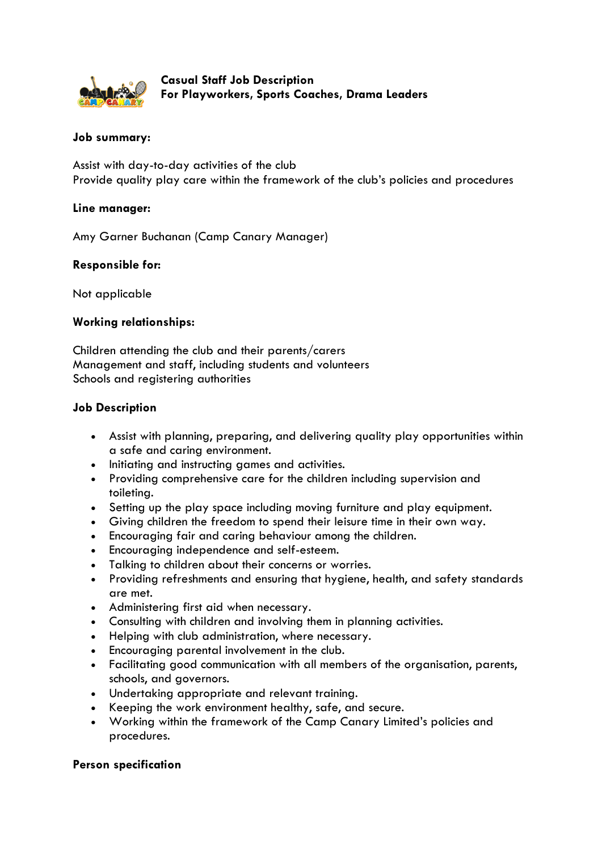

**Casual Staff Job Description For Playworkers, Sports Coaches, Drama Leaders**

# **Job summary:**

Assist with day-to-day activities of the club Provide quality play care within the framework of the club's policies and procedures

## **Line manager:**

Amy Garner Buchanan (Camp Canary Manager)

## **Responsible for:**

Not applicable

## **Working relationships:**

Children attending the club and their parents/carers Management and staff, including students and volunteers Schools and registering authorities

## **Job Description**

- Assist with planning, preparing, and delivering quality play opportunities within a safe and caring environment.
- Initiating and instructing games and activities.
- Providing comprehensive care for the children including supervision and toileting.
- Setting up the play space including moving furniture and play equipment.
- Giving children the freedom to spend their leisure time in their own way.
- Encouraging fair and caring behaviour among the children.
- Encouraging independence and self-esteem.
- Talking to children about their concerns or worries.
- Providing refreshments and ensuring that hygiene, health, and safety standards are met.
- Administering first aid when necessary.
- Consulting with children and involving them in planning activities.
- Helping with club administration, where necessary.
- Encouraging parental involvement in the club.
- Facilitating good communication with all members of the organisation, parents, schools, and governors.
- Undertaking appropriate and relevant training.
- Keeping the work environment healthy, safe, and secure.
- Working within the framework of the Camp Canary Limited's policies and procedures.

## **Person specification**